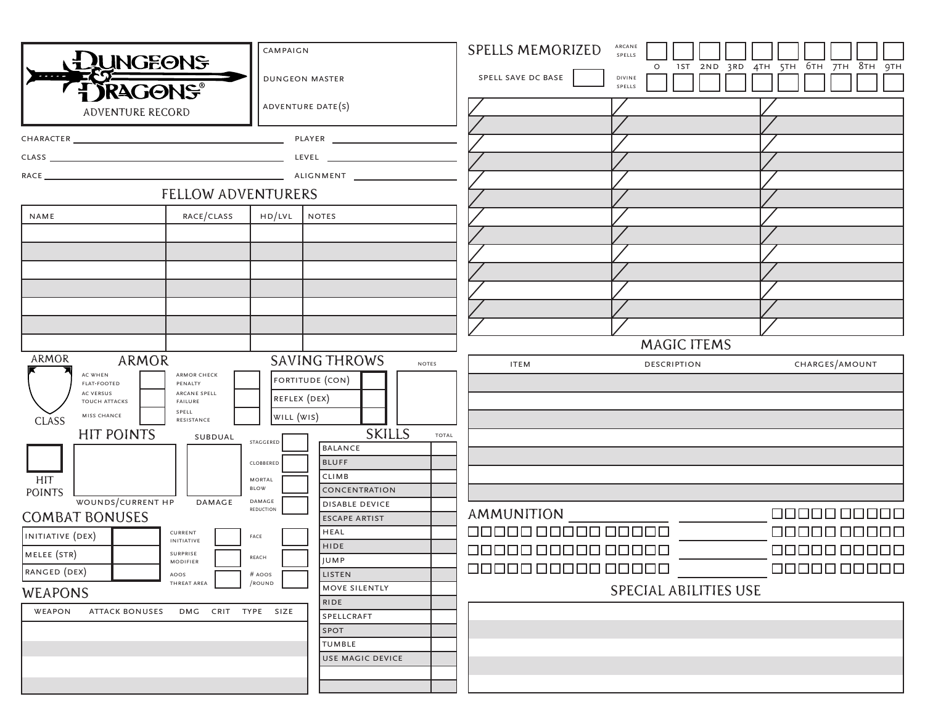| <b>CAMPAIGN</b><br><b>DUNGEONS</b>                                                 |                                                                                                                                  |                                  |                                                  | <b>ARCANE</b><br><b>SPELLS MEMORIZED</b><br>SPELLS |                                           |                                      |  |  |  |  |  |  |  |  |
|------------------------------------------------------------------------------------|----------------------------------------------------------------------------------------------------------------------------------|----------------------------------|--------------------------------------------------|----------------------------------------------------|-------------------------------------------|--------------------------------------|--|--|--|--|--|--|--|--|
| <b>DUNGEON MASTER</b><br><b>TJRAGONS®</b>                                          |                                                                                                                                  |                                  |                                                  | SPELL SAVE DC BASE                                 | 1ST<br>2ND<br>$\circ$<br>DIVINE<br>SPELLS | 6тн 7тн 8тн 9тн<br>4TH<br>5TH<br>3RD |  |  |  |  |  |  |  |  |
| ADVENTURE DATE(S)<br>ADVENTURE RECORD                                              |                                                                                                                                  |                                  |                                                  |                                                    |                                           |                                      |  |  |  |  |  |  |  |  |
|                                                                                    |                                                                                                                                  |                                  |                                                  |                                                    |                                           |                                      |  |  |  |  |  |  |  |  |
|                                                                                    |                                                                                                                                  |                                  |                                                  |                                                    |                                           |                                      |  |  |  |  |  |  |  |  |
|                                                                                    |                                                                                                                                  |                                  |                                                  |                                                    |                                           |                                      |  |  |  |  |  |  |  |  |
|                                                                                    |                                                                                                                                  |                                  |                                                  |                                                    |                                           |                                      |  |  |  |  |  |  |  |  |
|                                                                                    | FELLOW ADVENTURERS                                                                                                               |                                  |                                                  |                                                    |                                           |                                      |  |  |  |  |  |  |  |  |
| NAME                                                                               | RACE/CLASS                                                                                                                       | HD/LVL NOTES                     |                                                  |                                                    |                                           |                                      |  |  |  |  |  |  |  |  |
|                                                                                    |                                                                                                                                  |                                  |                                                  |                                                    |                                           |                                      |  |  |  |  |  |  |  |  |
|                                                                                    |                                                                                                                                  |                                  |                                                  |                                                    |                                           |                                      |  |  |  |  |  |  |  |  |
|                                                                                    |                                                                                                                                  |                                  |                                                  |                                                    |                                           |                                      |  |  |  |  |  |  |  |  |
|                                                                                    |                                                                                                                                  |                                  |                                                  |                                                    |                                           |                                      |  |  |  |  |  |  |  |  |
|                                                                                    |                                                                                                                                  |                                  |                                                  |                                                    |                                           |                                      |  |  |  |  |  |  |  |  |
|                                                                                    |                                                                                                                                  |                                  |                                                  |                                                    |                                           |                                      |  |  |  |  |  |  |  |  |
|                                                                                    |                                                                                                                                  |                                  |                                                  |                                                    | <b>MAGIC ITEMS</b>                        |                                      |  |  |  |  |  |  |  |  |
| ARMOR                                                                              | ARMOR                                                                                                                            |                                  | <b>SAVING THROWS</b><br><b>NOTES</b>             | <b>ITEM</b>                                        | <b>DESCRIPTION</b>                        | CHARGES/AMOUNT                       |  |  |  |  |  |  |  |  |
| AC WHEN<br><b>FLAT-FOOTED</b><br>AC VERSUS<br>MISS CHANCE<br><b>CLASS</b>          | <b>ARMOR CHECK</b><br>PENALTY<br>ARCANE SPELL<br>TOUCH ATTACKS<br>FAILURE<br>SPELL<br>RESISTANCE<br><b>HIT POINTS</b><br>SUBDUAL | REFLEX (DEX)<br>WILL (WIS)       | FORTITUDE (CON)<br><b>SKILLS</b><br><b>TOTAL</b> |                                                    |                                           |                                      |  |  |  |  |  |  |  |  |
| <b>HIT</b>                                                                         |                                                                                                                                  | STAGGERED<br>CLOBBERED<br>MORTAL | <b>BALANCE</b><br><b>BLUFF</b><br>CLIMB          |                                                    |                                           |                                      |  |  |  |  |  |  |  |  |
| <b>POINTS</b>                                                                      |                                                                                                                                  | <b>BLOW</b>                      | CONCENTRATION                                    |                                                    |                                           |                                      |  |  |  |  |  |  |  |  |
| WOUNDS/CURRENT HP<br><b>DAMAGE</b><br>DAMAGE<br>REDUCTION<br><b>COMBAT BONUSES</b> |                                                                                                                                  |                                  | <b>DISABLE DEVICE</b><br><b>ESCAPE ARTIST</b>    | AMMUNITION                                         |                                           | 0000000000                           |  |  |  |  |  |  |  |  |
| INITIATIVE (DEX)                                                                   | CURRENT                                                                                                                          | FACE                             | HEAL                                             | 00000 00000 00000                                  |                                           | 10000000000                          |  |  |  |  |  |  |  |  |
| MELEE (STR)                                                                        | INITIATIVE<br>SURPRISE                                                                                                           |                                  | <b>HIDE</b>                                      | 00000 00000 00000                                  |                                           | 0000000000                           |  |  |  |  |  |  |  |  |
| RANGED (DEX)                                                                       | <b>MODIFIER</b>                                                                                                                  | REACH                            | <b>JUMP</b>                                      | 00000 00000 00000                                  |                                           | 0000000000                           |  |  |  |  |  |  |  |  |
| LISTEN<br>AOOS<br># AOOS<br>THREAT AREA<br>/ROUND                                  |                                                                                                                                  |                                  | MOVE SILENTLY                                    |                                                    | <b>SPECIAL ABILITIES USE</b>              |                                      |  |  |  |  |  |  |  |  |
| <b>WEAPONS</b>                                                                     |                                                                                                                                  |                                  | RIDE                                             |                                                    |                                           |                                      |  |  |  |  |  |  |  |  |
| WEAPON                                                                             | <b>ATTACK BONUSES</b><br>DMG CRIT TYPE SIZE                                                                                      |                                  | SPELLCRAFT                                       |                                                    |                                           |                                      |  |  |  |  |  |  |  |  |
|                                                                                    |                                                                                                                                  |                                  | <b>SPOT</b><br>TUMBLE                            |                                                    |                                           |                                      |  |  |  |  |  |  |  |  |
|                                                                                    |                                                                                                                                  |                                  | <b>USE MAGIC DEVICE</b>                          |                                                    |                                           |                                      |  |  |  |  |  |  |  |  |
|                                                                                    |                                                                                                                                  |                                  |                                                  |                                                    |                                           |                                      |  |  |  |  |  |  |  |  |
|                                                                                    |                                                                                                                                  |                                  |                                                  |                                                    |                                           |                                      |  |  |  |  |  |  |  |  |